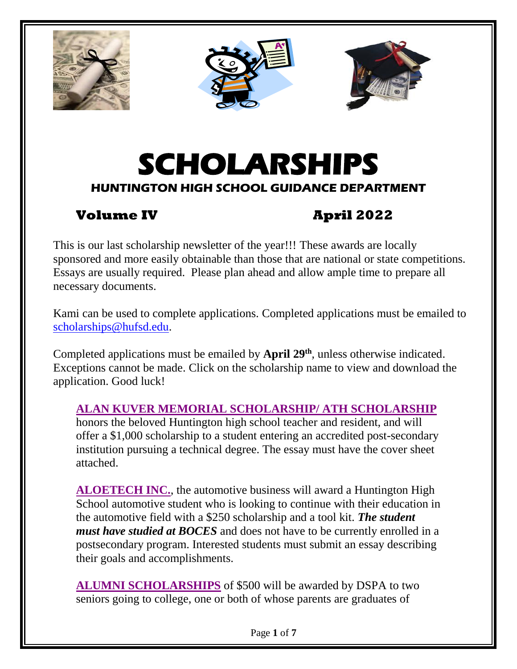





# **SCHOLARSHIPS HUNTINGTON HIGH SCHOOL GUIDANCE DEPARTMENT**

# **Volume IV April 2022**

This is our last scholarship newsletter of the year!!! These awards are locally sponsored and more easily obtainable than those that are national or state competitions. Essays are usually required. Please plan ahead and allow ample time to prepare all necessary documents.

Kami can be used to complete applications. Completed applications must be emailed to [scholarships@hufsd.edu.](mailto:scholarships@hufsd.edu)

Completed applications must be emailed by **April 29<sup>th</sup>**, unless otherwise indicated. Exceptions cannot be made. Click on the scholarship name to view and download the application. Good luck!

# **[ALAN KUVER MEMORIAL SCHOLARSHIP/ ATH SCHOLARSHIP](https://drive.google.com/file/d/1tvZEz7xBza5gnw34AXZlkGY_DtrQSWpR/view?usp=sharing)**

honors the beloved Huntington high school teacher and resident, and will offer a \$1,000 scholarship to a student entering an accredited post-secondary institution pursuing a technical degree. The essay must have the cover sheet attached.

**[ALOETECH INC.](https://drive.google.com/file/d/1CRKDbMxhlSB47jdLpbJVlT17cNs0IlTh/view?usp=sharing)**, the automotive business will award a Huntington High School automotive student who is looking to continue with their education in the automotive field with a \$250 scholarship and a tool kit. *The student must have studied at BOCES* and does not have to be currently enrolled in a postsecondary program. Interested students must submit an essay describing their goals and accomplishments.

**[ALUMNI SCHOLARSHIPS](https://drive.google.com/file/d/1fEH9eq43ZhU1wMwJMlGn424wxLPULWyo/view?usp=sharing)** of \$500 will be awarded by DSPA to two seniors going to college, one or both of whose parents are graduates of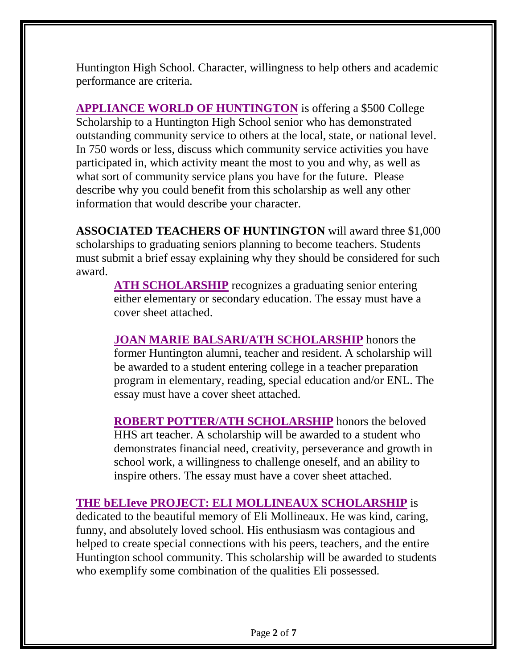Huntington High School. Character, willingness to help others and academic performance are criteria.

**[APPLIANCE WORLD OF HUNTINGTON](https://drive.google.com/file/d/1FqeY_1WFEnPdxJfFYZESeOBnrp8KS5gb/view?usp=sharing)** is offering a \$500 College Scholarship to a Huntington High School senior who has demonstrated outstanding community service to others at the local, state, or national level. In 750 words or less, discuss which community service activities you have participated in, which activity meant the most to you and why, as well as what sort of community service plans you have for the future. Please describe why you could benefit from this scholarship as well any other information that would describe your character.

**ASSOCIATED TEACHERS OF HUNTINGTON** will award three \$1,000 scholarships to graduating seniors planning to become teachers. Students must submit a brief essay explaining why they should be considered for such award.

**[ATH SCHOLARSHIP](https://drive.google.com/file/d/1XRuLhgI9MrjcVc6M4hMjiXQUJO_0WtBF/view?usp=sharing)** recognizes a graduating senior entering either elementary or secondary education. The essay must have a cover sheet attached.

**[JOAN MARIE BALSARI/ATH SCHOLARSHIP](https://drive.google.com/file/d/1AshroWPrFOFmLByk601oCojXec3k1lm-/view?usp=sharing)** honors the former Huntington alumni, teacher and resident. A scholarship will be awarded to a student entering college in a teacher preparation program in elementary, reading, special education and/or ENL. The essay must have a cover sheet attached.

**[ROBERT POTTER/ATH SCHOLARSHIP](https://drive.google.com/file/d/1FJ4-ngtbuxnXHeiJgufhdQjnQdzfWLRc/view?usp=sharing)** honors the beloved HHS art teacher. A scholarship will be awarded to a student who demonstrates financial need, creativity, perseverance and growth in school work, a willingness to challenge oneself, and an ability to inspire others. The essay must have a cover sheet attached.

# **[THE bELIeve PROJECT: ELI MOLLINEAUX SCHOLARSHIP](https://drive.google.com/file/d/1TGipQwZf6txzuBwpTrWQnHRMbYkdUKZc/view?usp=sharing)** is

dedicated to the beautiful memory of Eli Mollineaux. He was kind, caring, funny, and absolutely loved school. His enthusiasm was contagious and helped to create special connections with his peers, teachers, and the entire Huntington school community. This scholarship will be awarded to students who exemplify some combination of the qualities Eli possessed.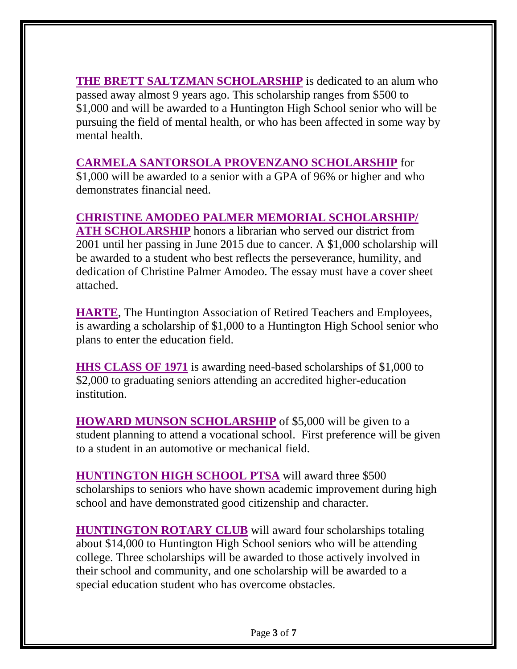**[THE BRETT SALTZMAN SCHOLARSHIP](https://drive.google.com/file/d/1T_X9-VAWZO8cMjxSD-Ghk4bivesGA92n/view?usp=sharing)** is dedicated to an alum who passed away almost 9 years ago. This scholarship ranges from \$500 to \$1,000 and will be awarded to a Huntington High School senior who will be pursuing the field of mental health, or who has been affected in some way by mental health.

# **[CARMELA SANTORSOLA PROVENZANO SCHOLARSHIP](https://drive.google.com/file/d/1U1KafF1wPM6pkNtZX29MxUms1RuFsTLF/view?usp=sharing)** for

\$1,000 will be awarded to a senior with a GPA of 96% or higher and who demonstrates financial need.

# **CHRISTINE [AMODEO PALMER MEMORIAL SCHOLARSHIP/](https://drive.google.com/file/d/11FUK2e_TTXABM2FNVRObd-_abFAKEL6N/view?usp=sharing)**

**[ATH SCHOLARSHIP](https://drive.google.com/file/d/11FUK2e_TTXABM2FNVRObd-_abFAKEL6N/view?usp=sharing)** honors a librarian who served our district from 2001 until her passing in June 2015 due to cancer. A \$1,000 scholarship will be awarded to a student who best reflects the perseverance, humility, and dedication of Christine Palmer Amodeo. The essay must have a cover sheet attached.

**[HARTE](https://drive.google.com/file/d/1OGjYVDdtXWxNiFJIqqHXrXPxCrMh9J6w/view?usp=sharing)**, The Huntington Association of Retired Teachers and Employees, is awarding a scholarship of \$1,000 to a Huntington High School senior who plans to enter the education field.

**[HHS CLASS OF 1971](https://drive.google.com/file/d/1HicKV419E8UyuSTfu71n5rCyssMhHyRh/view?usp=sharing)** is awarding need-based scholarships of \$1,000 to \$2,000 to graduating seniors attending an accredited higher-education institution.

**[HOWARD MUNSON SCHOLARSHIP](https://drive.google.com/file/d/1QWI24X0Ri7uJUHm5KEOah6wYLwo2QRw9/view?usp=sharing)** of \$5,000 will be given to a student planning to attend a vocational school. First preference will be given to a student in an automotive or mechanical field.

**[HUNTINGTON HIGH SCHOOL PTSA](https://drive.google.com/file/d/1VM5q8vRK7LHssuszy4ABiIkYal329qGt/view?usp=sharing)** will award three \$500 scholarships to seniors who have shown academic improvement during high school and have demonstrated good citizenship and character.

**[HUNTINGTON ROTARY CLUB](https://drive.google.com/file/d/1yTTWEwYV68wp3ol8LSYA-D_cw4qbarTq/view?usp=sharing)** will award four scholarships totaling about \$14,000 to Huntington High School seniors who will be attending college. Three scholarships will be awarded to those actively involved in their school and community, and one scholarship will be awarded to a special education student who has overcome obstacles.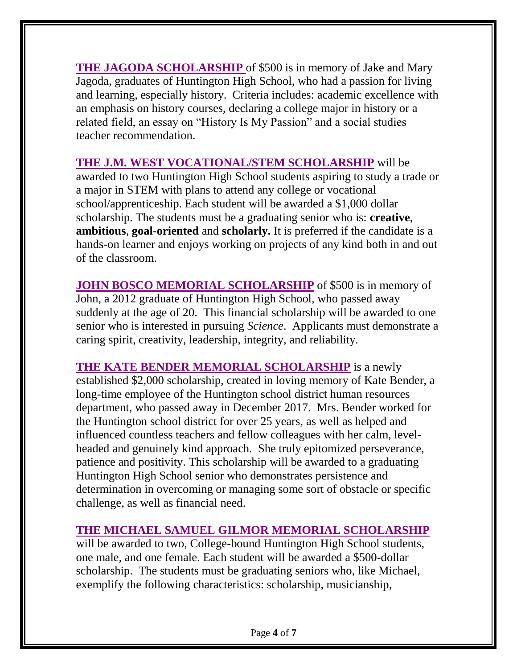**[THE JAGODA SCHOLARSHIP](https://drive.google.com/file/d/1yc2TQk_sCpP4Thl3JBYULgeDn7-zwWL5/view?usp=sharing)** of \$500 is in memory of Jake and Mary Jagoda, graduates of Huntington High School, who had a passion for living and learning, especially history. Criteria includes: academic excellence with an emphasis on history courses, declaring a college major in history or a related field, an essay on "History Is My Passion" and a social studies teacher recommendation.

**[THE J.M. WEST VOCATIONAL/STEM SCHOLARSHIP](https://drive.google.com/file/d/1RO66TpZudzKWZDnX2Eawci1sR-D_nUsm/view?usp=sharing)** will be awarded to two Huntington High School students aspiring to study a trade or a major in STEM with plans to attend any college or vocational school/apprenticeship. Each student will be awarded a \$1,000 dollar scholarship. The students must be a graduating senior who is: **creative**, **ambitious**, **goal-oriented** and **scholarly.** It is preferred if the candidate is a hands-on learner and enjoys working on projects of any kind both in and out of the classroom.

**[JOHN BOSCO MEMORIAL SCHOLARSHIP](https://drive.google.com/file/d/1V3OrdYxB9CEA6Jq8pBZ9cxzHpm2Ll54D/view?usp=sharing)** of \$500 is in memory of John, a 2012 graduate of Huntington High School, who passed away suddenly at the age of 20. This financial scholarship will be awarded to one senior who is interested in pursuing *Science*. Applicants must demonstrate a caring spirit, creativity, leadership, integrity, and reliability.

**[THE KATE BENDER MEMORIAL SCHOLARSHIP](https://drive.google.com/file/d/1nn9CROlgpN2gzgaWd_2r2UfporU6g1fO/view?usp=sharing)** is a newly established \$2,000 scholarship, created in loving memory of Kate Bender, a long-time employee of the Huntington school district human resources department, who passed away in December 2017. Mrs. Bender worked for the Huntington school district for over 25 years, as well as helped and influenced countless teachers and fellow colleagues with her calm, levelheaded and genuinely kind approach. She truly epitomized perseverance, patience and positivity. This scholarship will be awarded to a graduating Huntington High School senior who demonstrates persistence and determination in overcoming or managing some sort of obstacle or specific challenge, as well as financial need.

# **[THE MICHAEL SAMUEL GILMOR MEMORIAL SCHOLARSHIP](https://drive.google.com/file/d/1Wtzo-qQMrC9iYay4ybxRb5B6HDp4pGDv/view?usp=sharing)**

will be awarded to two, College-bound Huntington High School students, one male, and one female. Each student will be awarded a \$500-dollar scholarship. The students must be graduating seniors who, like Michael, exemplify the following characteristics: scholarship, musicianship,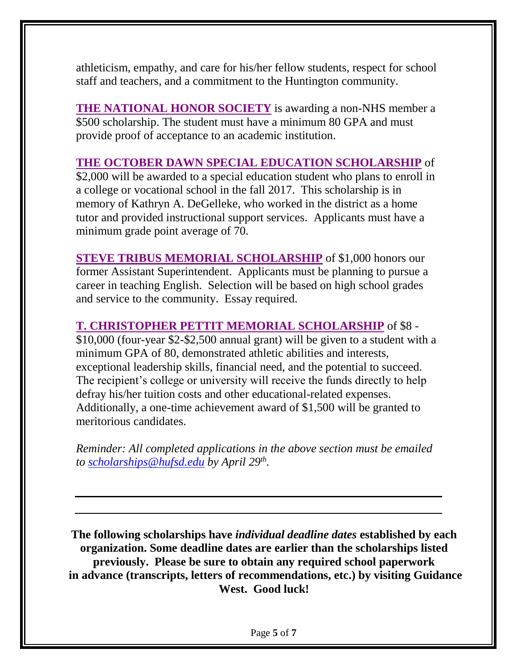athleticism, empathy, and care for his/her fellow students, respect for school staff and teachers, and a commitment to the Huntington community.

**THE NATIONAL [HONOR SOCIETY](https://drive.google.com/file/d/12L37KjV13iwBOhgtKikRqekIcMQtJsMx/view?usp=sharing)** is awarding a non-NHS member a \$500 scholarship. The student must have a minimum 80 GPA and must provide proof of acceptance to an academic institution.

# **[THE OCTOBER DAWN SPECIAL EDUCATION SCHOLARSHIP](https://drive.google.com/file/d/1Xu6v7_UGi461hxiOdD6qiP1Sf8ZJg5Wm/view?usp=sharing)** of

\$2,000 will be awarded to a special education student who plans to enroll in a college or vocational school in the fall 2017. This scholarship is in memory of Kathryn A. DeGelleke, who worked in the district as a home tutor and provided instructional support services. Applicants must have a minimum grade point average of 70.

**[STEVE TRIBUS MEMORIAL SCHOLARSHIP](https://drive.google.com/file/d/1vv14C0n3wVnlULhXo6qyjZURWr3qwCU-/view?usp=sharing)** of \$1,000 honors our former Assistant Superintendent. Applicants must be planning to pursue a career in teaching English. Selection will be based on high school grades and service to the community. Essay required.

#### **[T. CHRISTOPHER PETTIT MEMORIAL SCHOLARSHIP](https://drive.google.com/file/d/1bAr-KxCjSeUXU7jBK_2xVu1SAd8Y4t9H/view?usp=sharing)** of \$8 -

\$10,000 (four-year \$2-\$2,500 annual grant) will be given to a student with a minimum GPA of 80, demonstrated athletic abilities and interests, exceptional leadership skills, financial need, and the potential to succeed. The recipient's college or university will receive the funds directly to help defray his/her tuition costs and other educational-related expenses. Additionally, a one-time achievement award of \$1,500 will be granted to meritorious candidates.

*Reminder: All completed applications in the above section must be emailed to [scholarships@hufsd.edu](mailto:scholarships@hufsd.edu) by April 29th .*

**The following scholarships have** *individual deadline dates* **established by each organization. Some deadline dates are earlier than the scholarships listed previously. Please be sure to obtain any required school paperwork in advance (transcripts, letters of recommendations, etc.) by visiting Guidance West. Good luck!**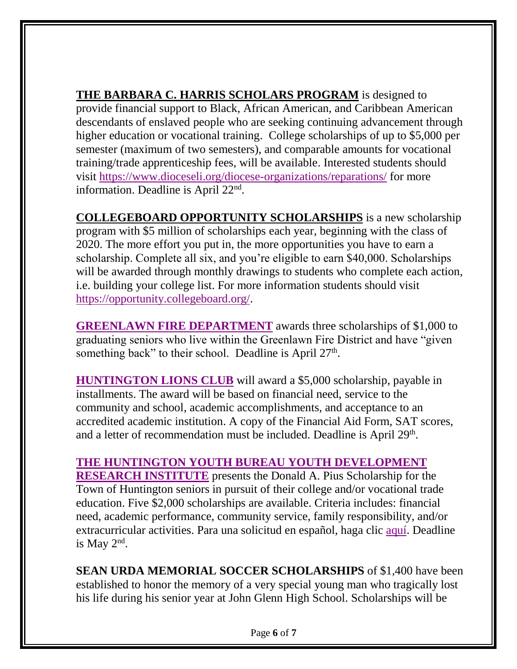**THE BARBARA C. HARRIS SCHOLARS PROGRAM** is designed to provide financial support to Black, African American, and Caribbean American descendants of enslaved people who are seeking continuing advancement through higher education or vocational training. College scholarships of up to \$5,000 per semester (maximum of two semesters), and comparable amounts for vocational training/trade apprenticeship fees, will be available. Interested students should visit <https://www.dioceseli.org/diocese-organizations/reparations/> for more information. Deadline is April 22<sup>nd</sup>.

**COLLEGEBOARD OPPORTUNITY SCHOLARSHIPS** is a new scholarship program with \$5 million of scholarships each year, beginning with the class of 2020. The more effort you put in, the more opportunities you have to earn a scholarship. Complete all six, and you're eligible to earn \$40,000. Scholarships will be awarded through monthly drawings to students who complete each action, i.e. building your college list. For more information students should visit [https://opportunity.collegeboard.org/.](https://opportunity.collegeboard.org/)

**[GREENLAWN FIRE DEPARTMENT](https://drive.google.com/file/d/1ZfMTyEAkO2lJ1Mc1LcDqPbXRj1c8EOXc/view?usp=sharing)** awards three scholarships of \$1,000 to graduating seniors who live within the Greenlawn Fire District and have "given something back" to their school. Deadline is April 27<sup>th</sup>.

**[HUNTINGTON LIONS CLUB](https://drive.google.com/file/d/1wfoxCtZBMCXryhpJO5p-e7Xe-Lz8tDME/view?usp=sharing)** will award a \$5,000 scholarship, payable in installments. The award will be based on financial need, service to the community and school, academic accomplishments, and acceptance to an accredited academic institution. A copy of the Financial Aid Form, SAT scores, and a letter of recommendation must be included. Deadline is April 29<sup>th</sup>.

# **[THE HUNTINGTON YOUTH BUREAU YOUTH DEVELOPMENT](https://drive.google.com/file/d/1eNMWU8yKSJvhB9OgHlCf51_44P-1iy5U/view?usp=sharing)**

**[RESEARCH](https://drive.google.com/file/d/1eNMWU8yKSJvhB9OgHlCf51_44P-1iy5U/view?usp=sharing) INSTITUTE** presents the Donald A. Pius Scholarship for the Town of Huntington seniors in pursuit of their college and/or vocational trade education. Five \$2,000 scholarships are available. Criteria includes: financial need, academic performance, community service, family responsibility, and/or extracurricular activities. Para una solicitud en español, haga clic [aquí.](https://drive.google.com/file/d/1Ocp98gal8MAkjomOEIHB8fNwFlfDbbV9/view?usp=sharing) Deadline is May  $2<sup>nd</sup>$ .

**SEAN URDA MEMORIAL SOCCER SCHOLARSHIPS** of \$1,400 have been established to honor the memory of a very special young man who tragically lost his life during his senior year at John Glenn High School. Scholarships will be